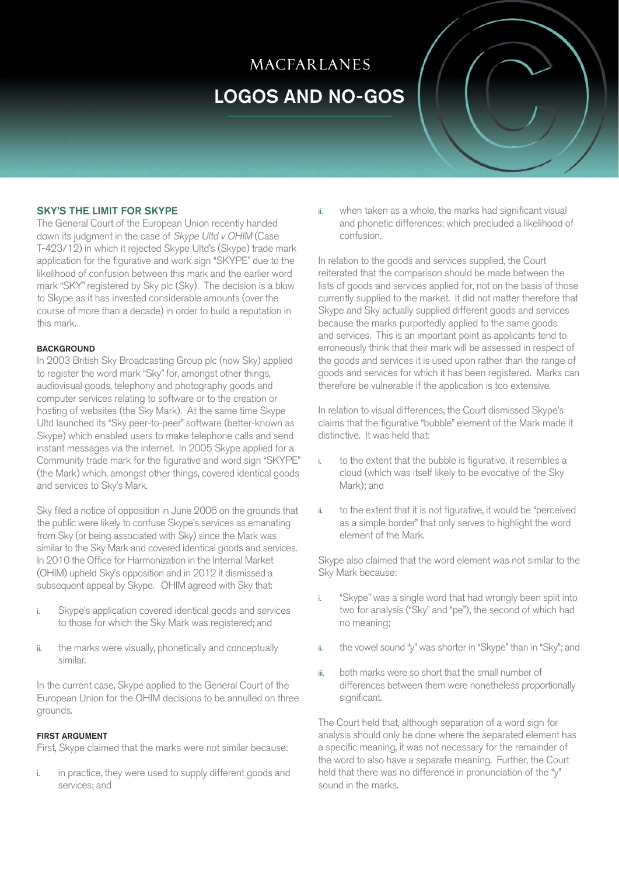# **MACFARLANES** LOGOS AND NO-GOS



The General Court of the European Union recently handed down its judgment in the case of Skype Ultd v OHIM (Case T-423/12) in which it rejected Skype Ultd's (Skype) trade mark application for the figurative and work sign "SKYPE" due to the likelihood of confusion between this mark and the earlier word mark "SKY" registered by Sky plc (Sky). The decision is a blow to Skype as it has invested considerable amounts (over the course of more than a decade) in order to build a reputation in this mark.

## **BACKGROUND**

In 2003 British Sky Broadcasting Group plc (now Sky) applied to register the word mark "Sky" for, amongst other things, audiovisual goods, telephony and photography goods and computer services relating to software or to the creation or hosting of websites (the Sky Mark). At the same time Skype Ultd launched its "Sky peer-to-peer" software (better-known as Skype) which enabled users to make telephone calls and send instant messages via the internet. In 2005 Skype applied for a Community trade mark for the figurative and word sign "SKYPE" (the Mark) which, amongst other things, covered identical goods and services to Sky's Mark.

Sky filed a notice of opposition in June 2006 on the grounds that the public were likely to confuse Skype's services as emanating from Sky (or being associated with Sky) since the Mark was similar to the Sky Mark and covered identical goods and services. In 2010 the Office for Harmonization in the Internal Market (OHIM) upheld Sky's opposition and in 2012 it dismissed a subsequent appeal by Skype. OHIM agreed with Sky that:

- i. Skype's application covered identical goods and services to those for which the Sky Mark was registered; and
- ii. the marks were visually, phonetically and conceptually similar.

In the current case, Skype applied to the General Court of the European Union for the OHIM decisions to be annulled on three grounds.

# FIRST ARGUMENT

First, Skype claimed that the marks were not similar because:

in practice, they were used to supply different goods and services; and

ii. when taken as a whole, the marks had significant visual and phonetic differences; which precluded a likelihood of confusion.

In relation to the goods and services supplied, the Court reiterated that the comparison should be made between the lists of goods and services applied for, not on the basis of those currently supplied to the market. It did not matter therefore that Skype and Sky actually supplied different goods and services because the marks purportedly applied to the same goods and services. This is an important point as applicants tend to erroneously think that their mark will be assessed in respect of the goods and services it is used upon rather than the range of goods and services for which it has been registered. Marks can therefore be vulnerable if the application is too extensive.

In relation to visual differences, the Court dismissed Skype's claims that the figurative "bubble" element of the Mark made it distinctive. It was held that:

- i. to the extent that the bubble is figurative, it resembles a cloud (which was itself likely to be evocative of the Sky Mark); and
- ii. to the extent that it is not figurative, it would be "perceived as a simple border" that only serves to highlight the word element of the Mark.

Skype also claimed that the word element was not similar to the Sky Mark because:

- i. "Skype" was a single word that had wrongly been split into two for analysis ("Sky" and "pe"), the second of which had no meaning;
- ii. the vowel sound "y" was shorter in "Skype" than in "Sky"; and
- iii. both marks were so short that the small number of differences between them were nonetheless proportionally significant.

The Court held that, although separation of a word sign for analysis should only be done where the separated element has a specific meaning, it was not necessary for the remainder of the word to also have a separate meaning. Further, the Court held that there was no difference in pronunciation of the "y" sound in the marks.